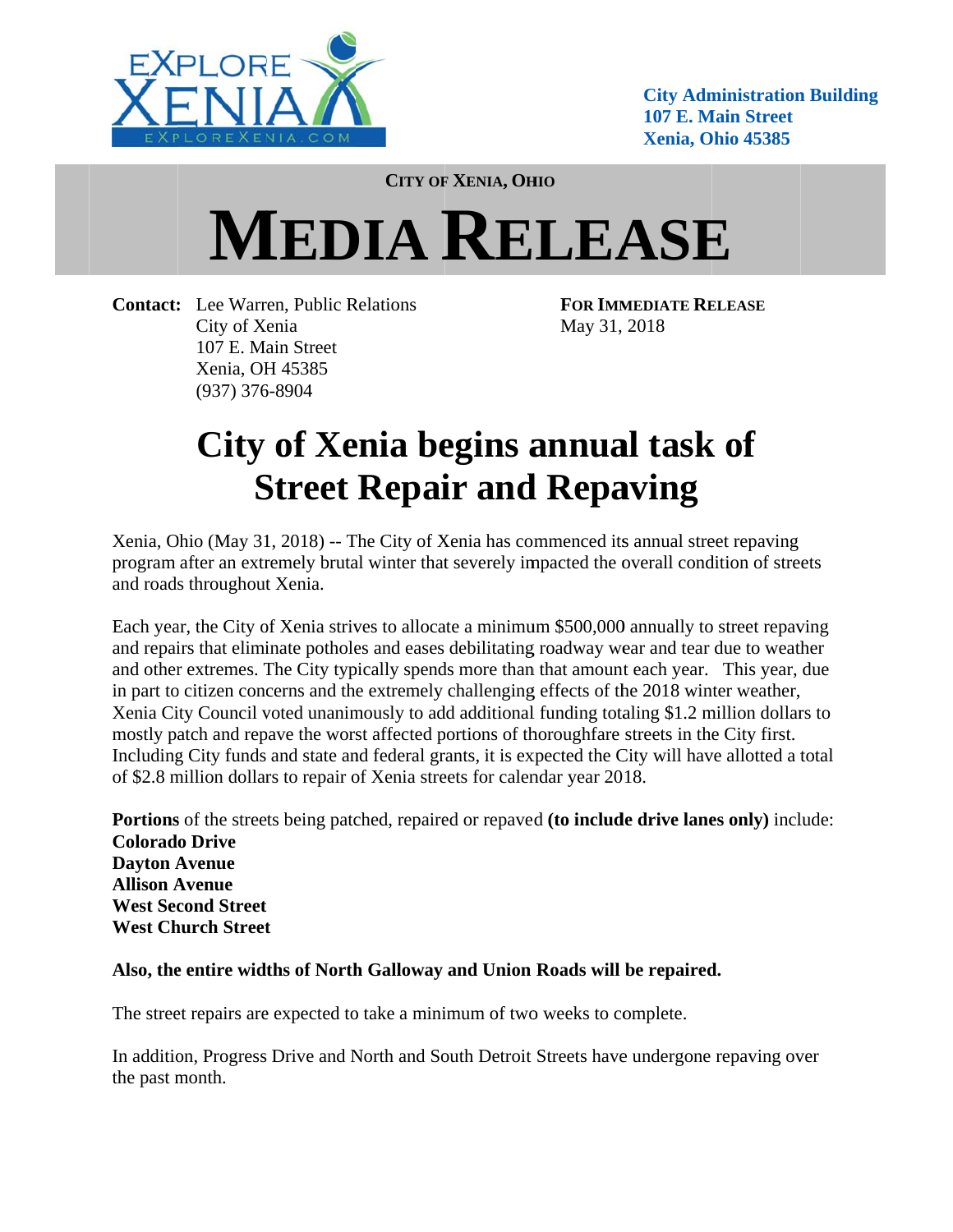

**City Administration Building 107 E. Main Street Xenia, Ohio 45385** 

**CITY OF XENIA, OHIO** 

## **MEDIA RELEASE**

**Contact:** Lee Warren, Public Relations City of Xenia 107 E. Main Street Xenia, OH 45385  $(937)$  376-8904

FOR IMMEDIATE RELEASE May 31, 2018

## City of Xenia begins annual task of **Street Repair and Repaving**

Xenia, Ohio (May 31, 2018) -- The City of Xenia has commenced its annual street repaving program after an extremely brutal winter that severely impacted the overall condition of streets and roads throughout Xenia.

Each year, the City of Xenia strives to allocate a minimum \$500,000 annually to street repaying and repairs that eliminate potholes and eases debilitating roadway wear and tear due to weather and other extremes. The City typically spends more than that amount each year. This year, due in part to citizen concerns and the extremely challenging effects of the 2018 winter weather, Xenia City Council voted unanimously to add additional funding totaling \$1.2 million dollars to mostly patch and repave the worst affected portions of thoroughfare streets in the City first. Including City funds and state and federal grants, it is expected the City will have allotted a total of \$2.8 million dollars to repair of Xenia streets for calendar year 2018.

Portions of the streets being patched, repaired or repaved (to include drive lanes only) include: **Colorado Drive Davton Avenue Allison Avenue West Second Street West Church Street** 

## Also, the entire widths of North Galloway and Union Roads will be repaired.

The street repairs are expected to take a minimum of two weeks to complete.

In addition, Progress Drive and North and South Detroit Streets have undergone repaving over the past month.